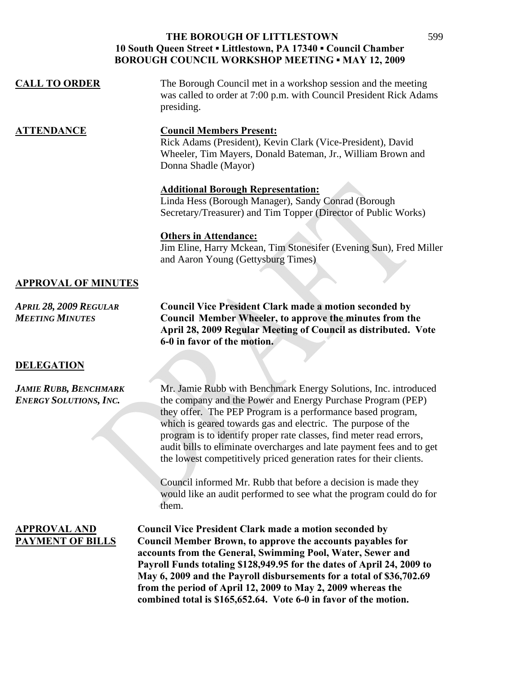| <b>CALL TO ORDER</b><br>The Borough Council met in a workshop session and the meeting<br>was called to order at 7:00 p.m. with Council President Rick Adams<br>presiding. |  |
|---------------------------------------------------------------------------------------------------------------------------------------------------------------------------|--|
|---------------------------------------------------------------------------------------------------------------------------------------------------------------------------|--|

### **ATTENDANCE Council Members Present:** Rick Adams (President), Kevin Clark (Vice-President), David Wheeler, Tim Mayers, Donald Bateman, Jr., William Brown and Donna Shadle (Mayor)

## **Additional Borough Representation:**

Linda Hess (Borough Manager), Sandy Conrad (Borough Secretary/Treasurer) and Tim Topper (Director of Public Works)

## **Others in Attendance:**

Jim Eline, Harry Mckean, Tim Stonesifer (Evening Sun), Fred Miller and Aaron Young (Gettysburg Times)

# **APPROVAL OF MINUTES**

*APRIL 28, 2009 REGULAR* **Council Vice President Clark made a motion seconded by**  *MEETING MINUTES* **Council Member Wheeler, to approve the minutes from the April 28, 2009 Regular Meeting of Council as distributed. Vote 6-0 in favor of the motion.** 

# **DELEGATION**

*JAMIE RUBB, BENCHMARK* Mr. Jamie Rubb with Benchmark Energy Solutions, Inc. introduced *ENERGY SOLUTIONS, INC.* the company and the Power and Energy Purchase Program (PEP) they offer. The PEP Program is a performance based program, which is geared towards gas and electric. The purpose of the program is to identify proper rate classes, find meter read errors, audit bills to eliminate overcharges and late payment fees and to get the lowest competitively priced generation rates for their clients.

> Council informed Mr. Rubb that before a decision is made they would like an audit performed to see what the program could do for them.

**APPROVAL AND Council Vice President Clark made a motion seconded by PAYMENT OF BILLS Council Member Brown, to approve the accounts payables for accounts from the General, Swimming Pool, Water, Sewer and Payroll Funds totaling \$128,949.95 for the dates of April 24, 2009 to May 6, 2009 and the Payroll disbursements for a total of \$36,702.69 from the period of April 12, 2009 to May 2, 2009 whereas the combined total is \$165,652.64. Vote 6-0 in favor of the motion.**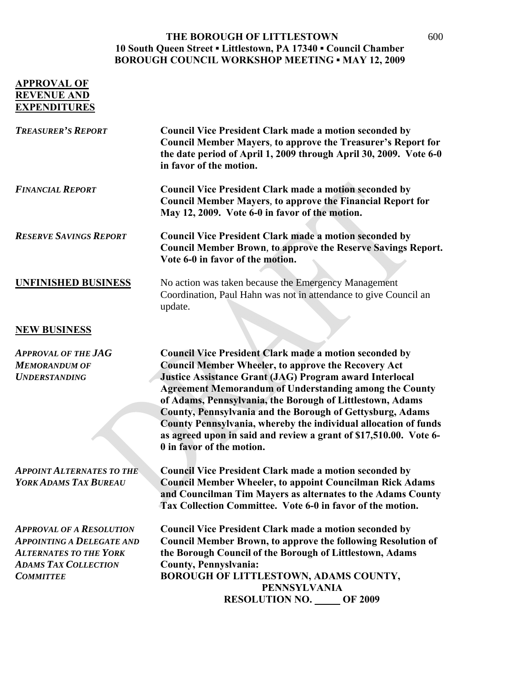| <b>APPROVAL OF</b><br><b>REVENUE AND</b><br><b>EXPENDITURES</b>                                                                                         |                                                                                                                                                                                                                                                                                                                                                                                                                                                                                                                                                               |
|---------------------------------------------------------------------------------------------------------------------------------------------------------|---------------------------------------------------------------------------------------------------------------------------------------------------------------------------------------------------------------------------------------------------------------------------------------------------------------------------------------------------------------------------------------------------------------------------------------------------------------------------------------------------------------------------------------------------------------|
| <b>TREASURER'S REPORT</b>                                                                                                                               | <b>Council Vice President Clark made a motion seconded by</b><br><b>Council Member Mayers, to approve the Treasurer's Report for</b><br>the date period of April 1, 2009 through April 30, 2009. Vote 6-0<br>in favor of the motion.                                                                                                                                                                                                                                                                                                                          |
| <b>FINANCIAL REPORT</b>                                                                                                                                 | <b>Council Vice President Clark made a motion seconded by</b><br><b>Council Member Mayers, to approve the Financial Report for</b><br>May 12, 2009. Vote 6-0 in favor of the motion.                                                                                                                                                                                                                                                                                                                                                                          |
| <b>RESERVE SAVINGS REPORT</b>                                                                                                                           | <b>Council Vice President Clark made a motion seconded by</b><br><b>Council Member Brown, to approve the Reserve Savings Report.</b><br>Vote 6-0 in favor of the motion.                                                                                                                                                                                                                                                                                                                                                                                      |
| <b>UNFINISHED BUSINESS</b>                                                                                                                              | No action was taken because the Emergency Management<br>Coordination, Paul Hahn was not in attendance to give Council an<br>update.                                                                                                                                                                                                                                                                                                                                                                                                                           |
| <b>NEW BUSINESS</b>                                                                                                                                     |                                                                                                                                                                                                                                                                                                                                                                                                                                                                                                                                                               |
| <b>APPROVAL OF THE JAG</b><br><b>MEMORANDUM OF</b><br><b>UNDERSTANDING</b>                                                                              | <b>Council Vice President Clark made a motion seconded by</b><br><b>Council Member Wheeler, to approve the Recovery Act</b><br><b>Justice Assistance Grant (JAG) Program award Interlocal</b><br><b>Agreement Memorandum of Understanding among the County</b><br>of Adams, Pennsylvania, the Borough of Littlestown, Adams<br>County, Pennsylvania and the Borough of Gettysburg, Adams<br>County Pennsylvania, whereby the individual allocation of funds<br>as agreed upon in said and review a grant of \$17,510.00. Vote 6-<br>0 in favor of the motion. |
| <b>APPOINT ALTERNATES TO THE</b><br>YORK ADAMS TAX BUREAU                                                                                               | <b>Council Vice President Clark made a motion seconded by</b><br><b>Council Member Wheeler, to appoint Councilman Rick Adams</b><br>and Councilman Tim Mayers as alternates to the Adams County<br>Tax Collection Committee. Vote 6-0 in favor of the motion.                                                                                                                                                                                                                                                                                                 |
| <b>APPROVAL OF A RESOLUTION</b><br><b>APPOINTING A DELEGATE AND</b><br><b>ALTERNATES TO THE YORK</b><br><b>ADAMS TAX COLLECTION</b><br><b>COMMITTEE</b> | <b>Council Vice President Clark made a motion seconded by</b><br><b>Council Member Brown, to approve the following Resolution of</b><br>the Borough Council of the Borough of Littlestown, Adams<br><b>County, Pennyslvania:</b><br>BOROUGH OF LITTLESTOWN, ADAMS COUNTY,<br><b>PENNSYLVANIA</b><br><b>RESOLUTION NO. 66 OF 2009</b>                                                                                                                                                                                                                          |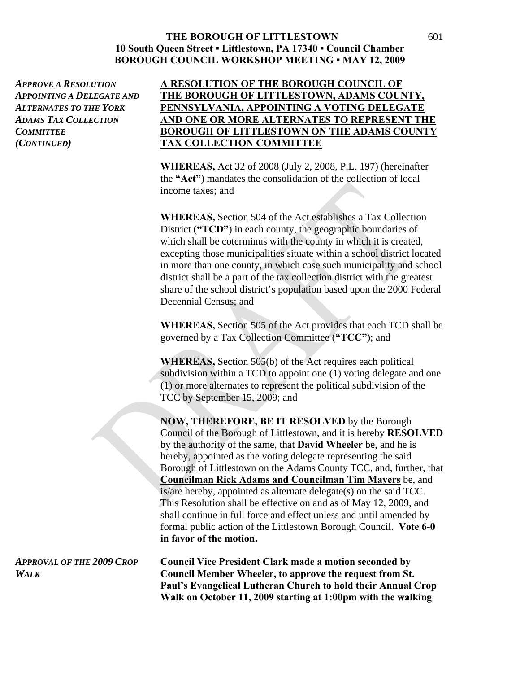## *APPROVE A RESOLUTION* **A RESOLUTION OF THE BOROUGH COUNCIL OF**  *APPOINTING A DELEGATE AND* **THE BOROUGH OF LITTLESTOWN, ADAMS COUNTY,**  *ALTERNATES TO THE YORK* **PENNSYLVANIA, APPOINTING A VOTING DELEGATE**  *ADAMS TAX COLLECTION* **AND ONE OR MORE ALTERNATES TO REPRESENT THE** *COMMITTEE* **BOROUGH OF LITTLESTOWN ON THE ADAMS COUNTY** *(CONTINUED)* **TAX COLLECTION COMMITTEE**

**WHEREAS,** Act 32 of 2008 (July 2, 2008, P.L. 197) (hereinafter the **"Act"**) mandates the consolidation of the collection of local income taxes; and

**WHEREAS,** Section 504 of the Act establishes a Tax Collection District (**"TCD"**) in each county, the geographic boundaries of which shall be coterminus with the county in which it is created, excepting those municipalities situate within a school district located in more than one county, in which case such municipality and school district shall be a part of the tax collection district with the greatest share of the school district's population based upon the 2000 Federal Decennial Census; and

**WHEREAS,** Section 505 of the Act provides that each TCD shall be governed by a Tax Collection Committee (**"TCC"**); and

**WHEREAS,** Section 505(b) of the Act requires each political subdivision within a TCD to appoint one (1) voting delegate and one (1) or more alternates to represent the political subdivision of the TCC by September 15, 2009; and

 **NOW, THEREFORE, BE IT RESOLVED** by the Borough Council of the Borough of Littlestown, and it is hereby **RESOLVED** by the authority of the same, that **David Wheeler** be, and he is hereby, appointed as the voting delegate representing the said Borough of Littlestown on the Adams County TCC, and, further, that **Councilman Rick Adams and Councilman Tim Mayers** be, and is/are hereby, appointed as alternate delegate(s) on the said TCC. This Resolution shall be effective on and as of May 12, 2009, and shall continue in full force and effect unless and until amended by formal public action of the Littlestown Borough Council. **Vote 6-0 in favor of the motion.** 

*APPROVAL OF THE 2009 CROP* **Council Vice President Clark made a motion seconded by**  *WALK* **Council Member Wheeler, to approve the request from St. Paul's Evangelical Lutheran Church to hold their Annual Crop Walk on October 11, 2009 starting at 1:00pm with the walking**